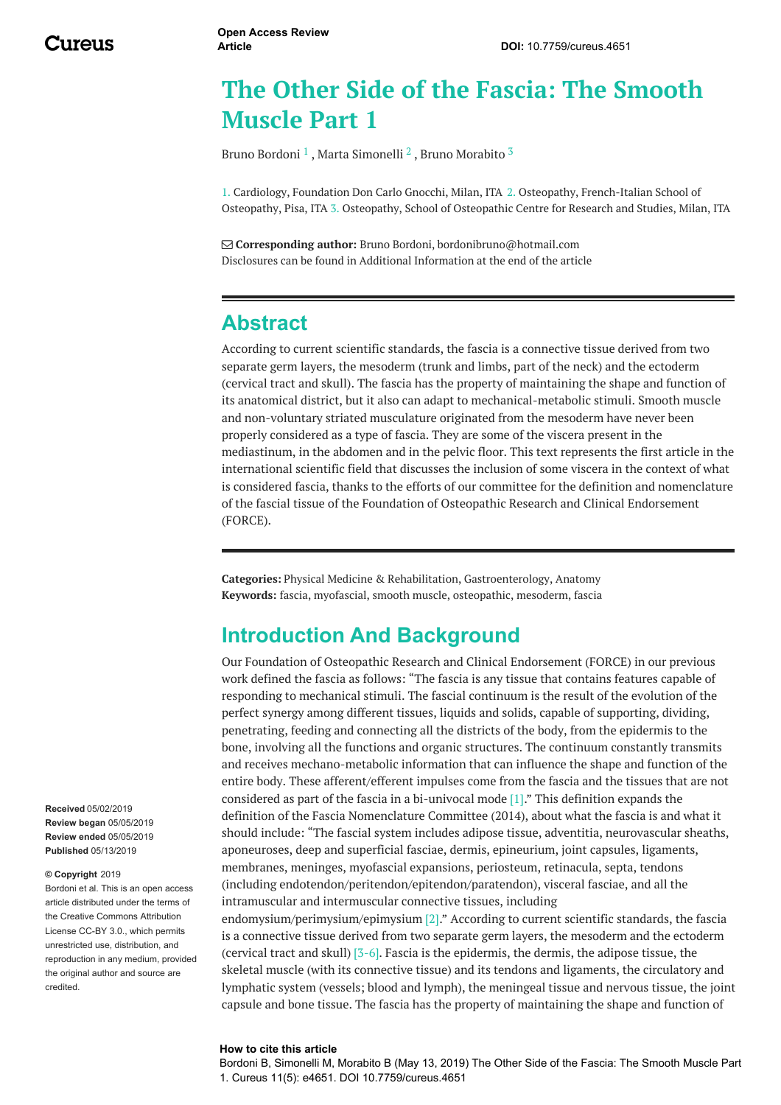# **The Other Side of the Fascia: The Smooth Muscle Part 1**

Bruno [Bordoni](https://www.cureus.com/users/19337-bruno-bordoni)  $^1$  , Marta [Simonelli](https://www.cureus.com/users/105885-marta-simonelli)  $^2$  , Bruno [Morabito](https://www.cureus.com/users/26826-bruno-morabito)  $^3$ 

1. Cardiology, Foundation Don Carlo Gnocchi, Milan, ITA 2. Osteopathy, French-Italian School of Osteopathy, Pisa, ITA 3. Osteopathy, School of Osteopathic Centre for Research and Studies, Milan, ITA

 **Corresponding author:** Bruno Bordoni, bordonibruno@hotmail.com Disclosures can be found in Additional Information at the end of the article

## **Abstract**

According to current scientific standards, the fascia is a connective tissue derived from two separate germ layers, the mesoderm (trunk and limbs, part of the neck) and the ectoderm (cervical tract and skull). The fascia has the property of maintaining the shape and function of its anatomical district, but it also can adapt to mechanical-metabolic stimuli. Smooth muscle and non-voluntary striated musculature originated from the mesoderm have never been properly considered as a type of fascia. They are some of the viscera present in the mediastinum, in the abdomen and in the pelvic floor. This text represents the first article in the international scientific field that discusses the inclusion of some viscera in the context of what is considered fascia, thanks to the efforts of our committee for the definition and nomenclature of the fascial tissue of the Foundation of Osteopathic Research and Clinical Endorsement (FORCE).

**Categories:** Physical Medicine & Rehabilitation, Gastroenterology, Anatomy **Keywords:** fascia, myofascial, smooth muscle, osteopathic, mesoderm, fascia

## **Introduction And Background**

Our Foundation of Osteopathic Research and Clinical Endorsement (FORCE) in our previous work defined the fascia as follows: "The fascia is any tissue that contains features capable of responding to mechanical stimuli. The fascial continuum is the result of the evolution of the perfect synergy among different tissues, liquids and solids, capable of supporting, dividing, penetrating, feeding and connecting all the districts of the body, from the epidermis to the bone, involving all the functions and organic structures. The continuum constantly transmits and receives mechano-metabolic information that can influence the shape and function of the entire body. These afferent/efferent impulses come from the fascia and the tissues that are not considered as part of the fascia in a bi-univocal mode [1]." This definition expands the definition of the Fascia Nomenclature Committee (2014), about what the fascia is and what it should include: "The fascial system includes adipose tissue, adventitia, neurovascular sheaths, aponeuroses, deep and superficial fasciae, dermis, epineurium, joint capsules, ligaments, membranes, meninges, myofascial expansions, periosteum, retinacula, septa, tendons (including endotendon/peritendon/epitendon/paratendon), visceral fasciae, and all the intramuscular and intermuscular connective tissues, including

endomysium/perimysium/epimysium [2]." According to current scientific standards, the fascia is a connective tissue derived from two separate germ layers, the mesoderm and the ectoderm (cervical tract and skull) [3-6]. Fascia is the epidermis, the dermis, the adipose tissue, the skeletal muscle (with its connective tissue) and its tendons and ligaments, the circulatory and lymphatic system (vessels; blood and lymph), the meningeal tissue and nervous tissue, the joint capsule and bone tissue. The fascia has the property of maintaining the shape and function of

#### **How to cite this article**

Bordoni B, Simonelli M, Morabito B (May 13, 2019) The Other Side of the Fascia: The Smooth Muscle Part 1. Cureus 11(5): e4651. DOI 10.7759/cureus.4651

**Received** 05/02/2019 **Review began** 05/05/2019 **Review ended** 05/05/2019 **Published** 05/13/2019

#### **© Copyright** 2019

Bordoni et al. This is an open access article distributed under the terms of the Creative Commons Attribution License CC-BY 3.0., which permits unrestricted use, distribution, and reproduction in any medium, provided the original author and source are credited.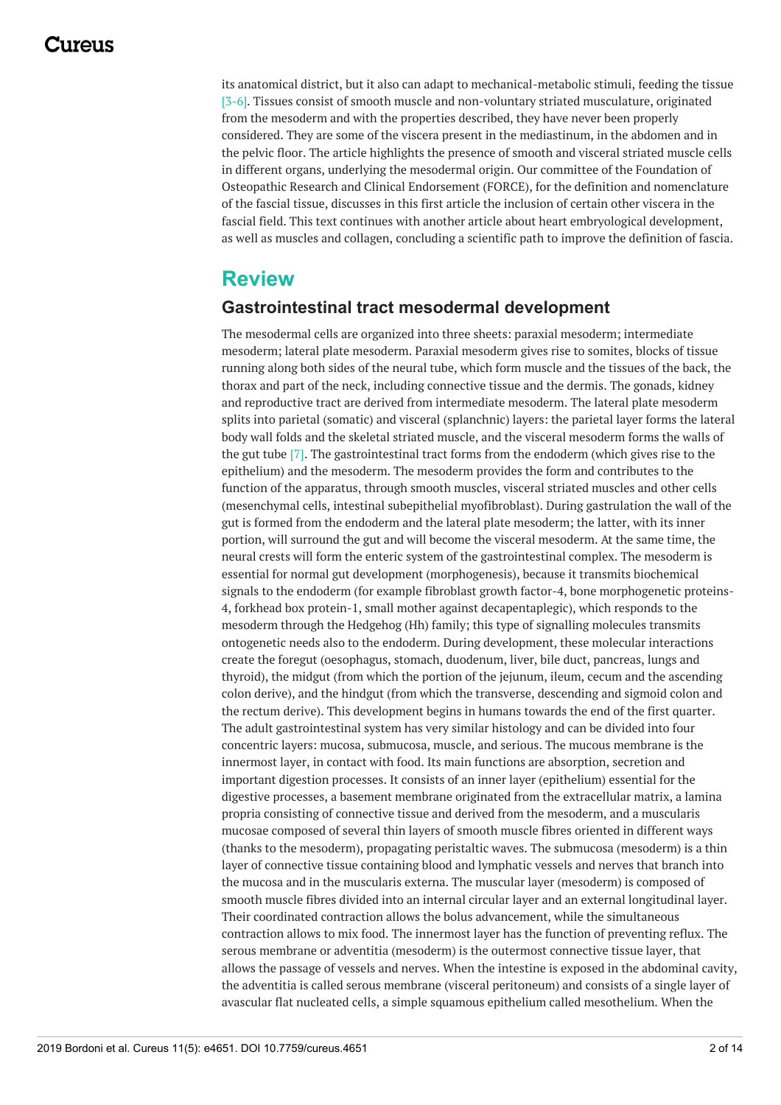## 117A119

its anatomical district, but it also can adapt to mechanical-metabolic stimuli, feeding the tissue [3-6]. Tissues consist of smooth muscle and non-voluntary striated musculature, originated from the mesoderm and with the properties described, they have never been properly considered. They are some of the viscera present in the mediastinum, in the abdomen and in the pelvic floor. The article highlights the presence of smooth and visceral striated muscle cells in different organs, underlying the mesodermal origin. Our committee of the Foundation of Osteopathic Research and Clinical Endorsement (FORCE), for the definition and nomenclature of the fascial tissue, discusses in this first article the inclusion of certain other viscera in the fascial field. This text continues with another article about heart embryological development, as well as muscles and collagen, concluding a scientific path to improve the definition of fascia.

## **Review**

#### **Gastrointestinal tract mesodermal development**

The mesodermal cells are organized into three sheets: paraxial mesoderm; intermediate mesoderm; lateral plate mesoderm. Paraxial mesoderm gives rise to somites, blocks of tissue running along both sides of the neural tube, which form muscle and the tissues of the back, the thorax and part of the neck, including connective tissue and the dermis. The gonads, kidney and reproductive tract are derived from intermediate mesoderm. The lateral plate mesoderm splits into parietal (somatic) and visceral (splanchnic) layers: the parietal layer forms the lateral body wall folds and the skeletal striated muscle, and the visceral mesoderm forms the walls of the gut tube [7]. The gastrointestinal tract forms from the endoderm (which gives rise to the epithelium) and the mesoderm. The mesoderm provides the form and contributes to the function of the apparatus, through smooth muscles, visceral striated muscles and other cells (mesenchymal cells, intestinal subepithelial myofibroblast). During gastrulation the wall of the gut is formed from the endoderm and the lateral plate mesoderm; the latter, with its inner portion, will surround the gut and will become the visceral mesoderm. At the same time, the neural crests will form the enteric system of the gastrointestinal complex. The mesoderm is essential for normal gut development (morphogenesis), because it transmits biochemical signals to the endoderm (for example fibroblast growth factor-4, bone morphogenetic proteins-4, forkhead box protein-1, small mother against decapentaplegic), which responds to the mesoderm through the Hedgehog (Hh) family; this type of signalling molecules transmits ontogenetic needs also to the endoderm. During development, these molecular interactions create the foregut (oesophagus, stomach, duodenum, liver, bile duct, pancreas, lungs and thyroid), the midgut (from which the portion of the jejunum, ileum, cecum and the ascending colon derive), and the hindgut (from which the transverse, descending and sigmoid colon and the rectum derive). This development begins in humans towards the end of the first quarter. The adult gastrointestinal system has very similar histology and can be divided into four concentric layers: mucosa, submucosa, muscle, and serious. The mucous membrane is the innermost layer, in contact with food. Its main functions are absorption, secretion and important digestion processes. It consists of an inner layer (epithelium) essential for the digestive processes, a basement membrane originated from the extracellular matrix, a lamina propria consisting of connective tissue and derived from the mesoderm, and a muscularis mucosae composed of several thin layers of smooth muscle fibres oriented in different ways (thanks to the mesoderm), propagating peristaltic waves. The submucosa (mesoderm) is a thin layer of connective tissue containing blood and lymphatic vessels and nerves that branch into the mucosa and in the muscularis externa. The muscular layer (mesoderm) is composed of smooth muscle fibres divided into an internal circular layer and an external longitudinal layer. Their coordinated contraction allows the bolus advancement, while the simultaneous contraction allows to mix food. The innermost layer has the function of preventing reflux. The serous membrane or adventitia (mesoderm) is the outermost connective tissue layer, that allows the passage of vessels and nerves. When the intestine is exposed in the abdominal cavity, the adventitia is called serous membrane (visceral peritoneum) and consists of a single layer of avascular flat nucleated cells, a simple squamous epithelium called mesothelium. When the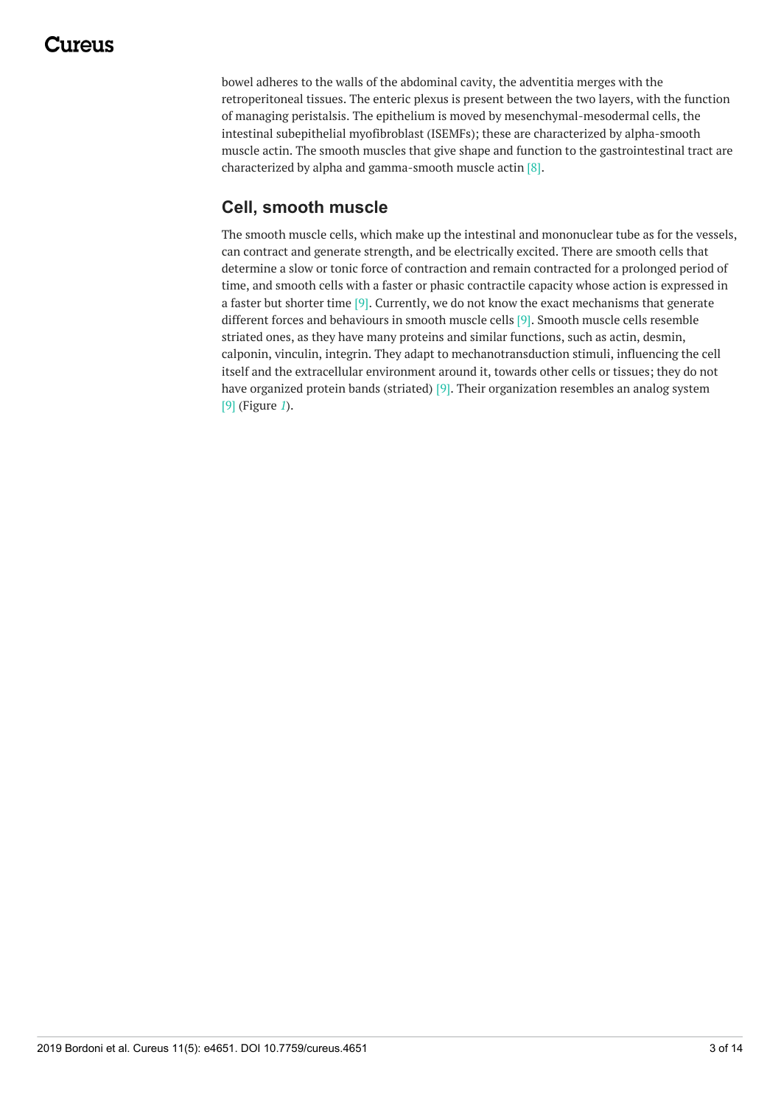## 111A11

bowel adheres to the walls of the abdominal cavity, the adventitia merges with the retroperitoneal tissues. The enteric plexus is present between the two layers, with the function of managing peristalsis. The epithelium is moved by mesenchymal-mesodermal cells, the intestinal subepithelial myofibroblast (ISEMFs); these are characterized by alpha-smooth muscle actin. The smooth muscles that give shape and function to the gastrointestinal tract are characterized by alpha and gamma-smooth muscle actin [8].

## **Cell, smooth muscle**

The smooth muscle cells, which make up the intestinal and mononuclear tube as for the vessels, can contract and generate strength, and be electrically excited. There are smooth cells that determine a slow or tonic force of contraction and remain contracted for a prolonged period of time, and smooth cells with a faster or phasic contractile capacity whose action is expressed in a faster but shorter time  $[9]$ . Currently, we do not know the exact mechanisms that generate different forces and behaviours in smooth muscle cells [9]. Smooth muscle cells resemble striated ones, as they have many proteins and similar functions, such as actin, desmin, calponin, vinculin, integrin. They adapt to mechanotransduction stimuli, influencing the cell itself and the extracellular environment around it, towards other cells or tissues; they do not have organized protein bands (striated) [9]. Their organization resembles an analog system [9] (Figure *[1](#page-3-0)*).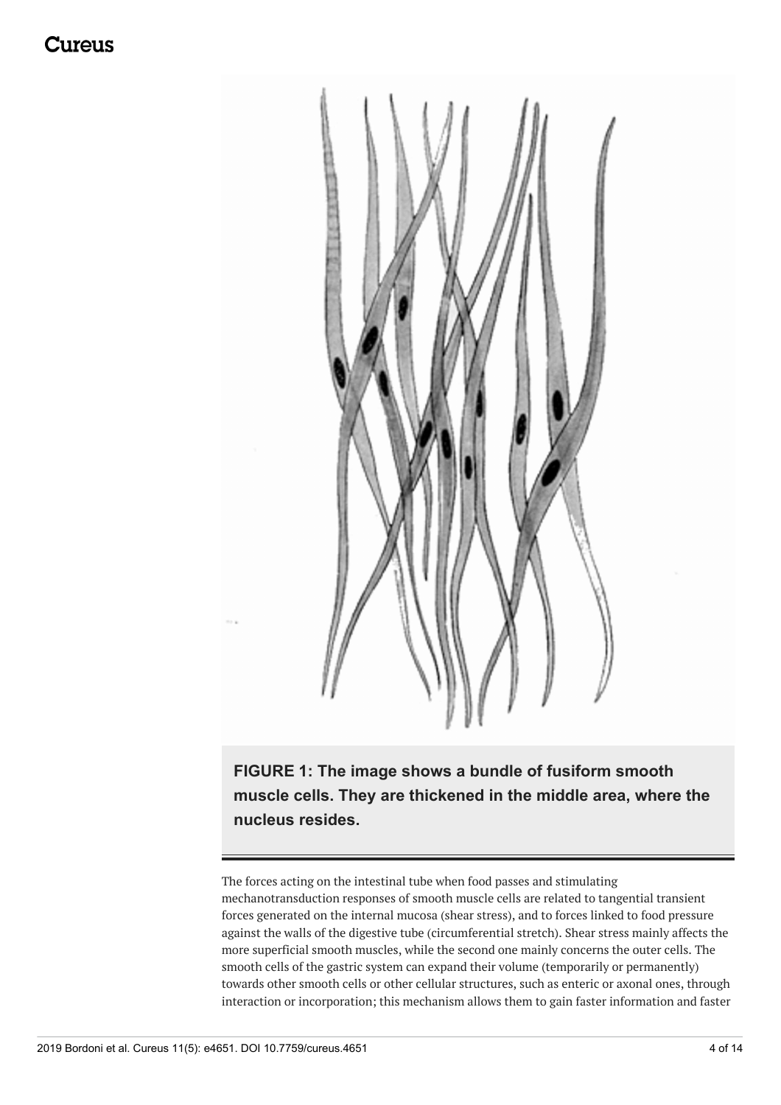## Jureus

<span id="page-3-0"></span>

**FIGURE 1: The image shows a bundle of fusiform smooth muscle cells. They are thickened in the middle area, where the nucleus resides.**

The forces acting on the intestinal tube when food passes and stimulating mechanotransduction responses of smooth muscle cells are related to tangential transient forces generated on the internal mucosa (shear stress), and to forces linked to food pressure against the walls of the digestive tube (circumferential stretch). Shear stress mainly affects the more superficial smooth muscles, while the second one mainly concerns the outer cells. The smooth cells of the gastric system can expand their volume (temporarily or permanently) towards other smooth cells or other cellular structures, such as enteric or axonal ones, through interaction or incorporation; this mechanism allows them to gain faster information and faster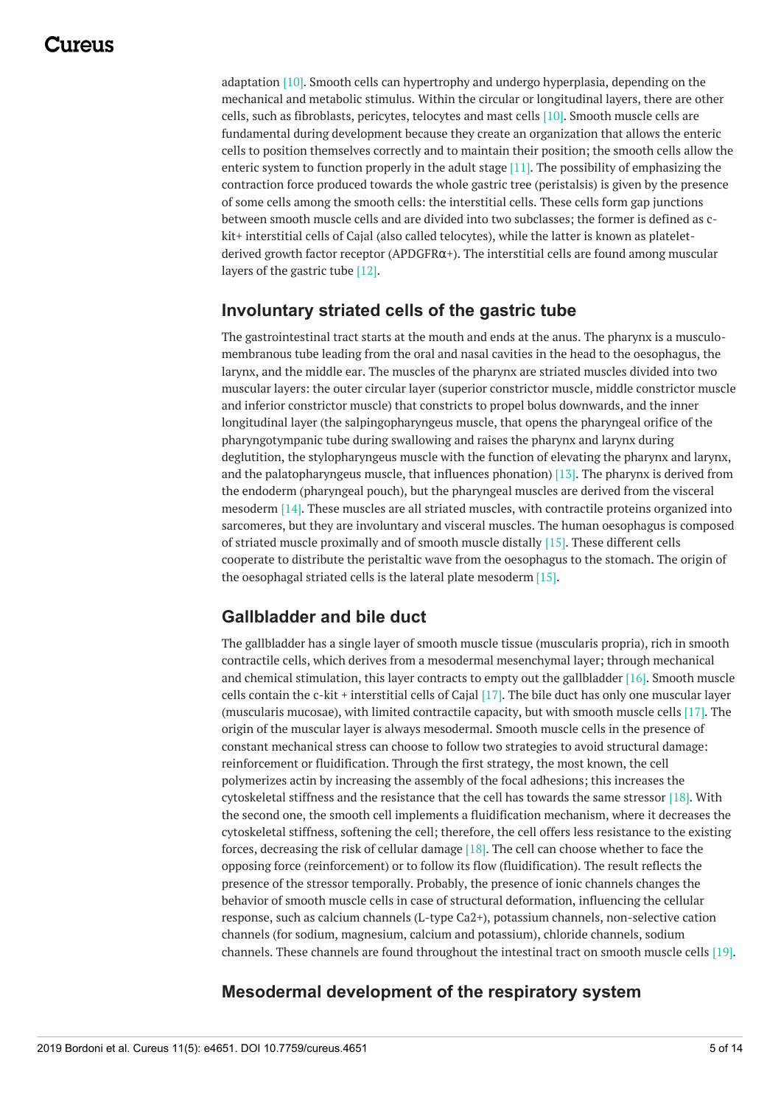adaptation [10]. Smooth cells can hypertrophy and undergo hyperplasia, depending on the mechanical and metabolic stimulus. Within the circular or longitudinal layers, there are other cells, such as fibroblasts, pericytes, telocytes and mast cells [10]. Smooth muscle cells are fundamental during development because they create an organization that allows the enteric cells to position themselves correctly and to maintain their position; the smooth cells allow the enteric system to function properly in the adult stage [11]. The possibility of emphasizing the contraction force produced towards the whole gastric tree (peristalsis) is given by the presence of some cells among the smooth cells: the interstitial cells. These cells form gap junctions between smooth muscle cells and are divided into two subclasses; the former is defined as ckit+ interstitial cells of Cajal (also called telocytes), while the latter is known as plateletderived growth factor receptor (APDGFR $\alpha$ +). The interstitial cells are found among muscular layers of the gastric tube [12].

#### **Involuntary striated cells of the gastric tube**

The gastrointestinal tract starts at the mouth and ends at the anus. The pharynx is a musculomembranous tube leading from the oral and nasal cavities in the head to the oesophagus, the larynx, and the middle ear. The muscles of the pharynx are striated muscles divided into two muscular layers: the outer circular layer (superior constrictor muscle, middle constrictor muscle and inferior constrictor muscle) that constricts to propel bolus downwards, and the inner longitudinal layer (the salpingopharyngeus muscle, that opens the pharyngeal orifice of the pharyngotympanic tube during swallowing and raises the pharynx and larynx during deglutition, the stylopharyngeus muscle with the function of elevating the pharynx and larynx, and the palatopharyngeus muscle, that influences phonation) [13]. The pharynx is derived from the endoderm (pharyngeal pouch), but the pharyngeal muscles are derived from the visceral mesoderm [14]. These muscles are all striated muscles, with contractile proteins organized into sarcomeres, but they are involuntary and visceral muscles. The human oesophagus is composed of striated muscle proximally and of smooth muscle distally [15]. These different cells cooperate to distribute the peristaltic wave from the oesophagus to the stomach. The origin of the oesophagal striated cells is the lateral plate mesoderm [15].

### **Gallbladder and bile duct**

The gallbladder has a single layer of smooth muscle tissue (muscularis propria), rich in smooth contractile cells, which derives from a mesodermal mesenchymal layer; through mechanical and chemical stimulation, this layer contracts to empty out the gallbladder  $[16]$ . Smooth muscle cells contain the c-kit + interstitial cells of Cajal [17]. The bile duct has only one muscular layer (muscularis mucosae), with limited contractile capacity, but with smooth muscle cells [17]. The origin of the muscular layer is always mesodermal. Smooth muscle cells in the presence of constant mechanical stress can choose to follow two strategies to avoid structural damage: reinforcement or fluidification. Through the first strategy, the most known, the cell polymerizes actin by increasing the assembly of the focal adhesions; this increases the cytoskeletal stiffness and the resistance that the cell has towards the same stressor [18]. With the second one, the smooth cell implements a fluidification mechanism, where it decreases the cytoskeletal stiffness, softening the cell; therefore, the cell offers less resistance to the existing forces, decreasing the risk of cellular damage [18]. The cell can choose whether to face the opposing force (reinforcement) or to follow its flow (fluidification). The result reflects the presence of the stressor temporally. Probably, the presence of ionic channels changes the behavior of smooth muscle cells in case of structural deformation, influencing the cellular response, such as calcium channels (L-type Ca2+), potassium channels, non-selective cation channels (for sodium, magnesium, calcium and potassium), chloride channels, sodium channels. These channels are found throughout the intestinal tract on smooth muscle cells [19].

#### **Mesodermal development of the respiratory system**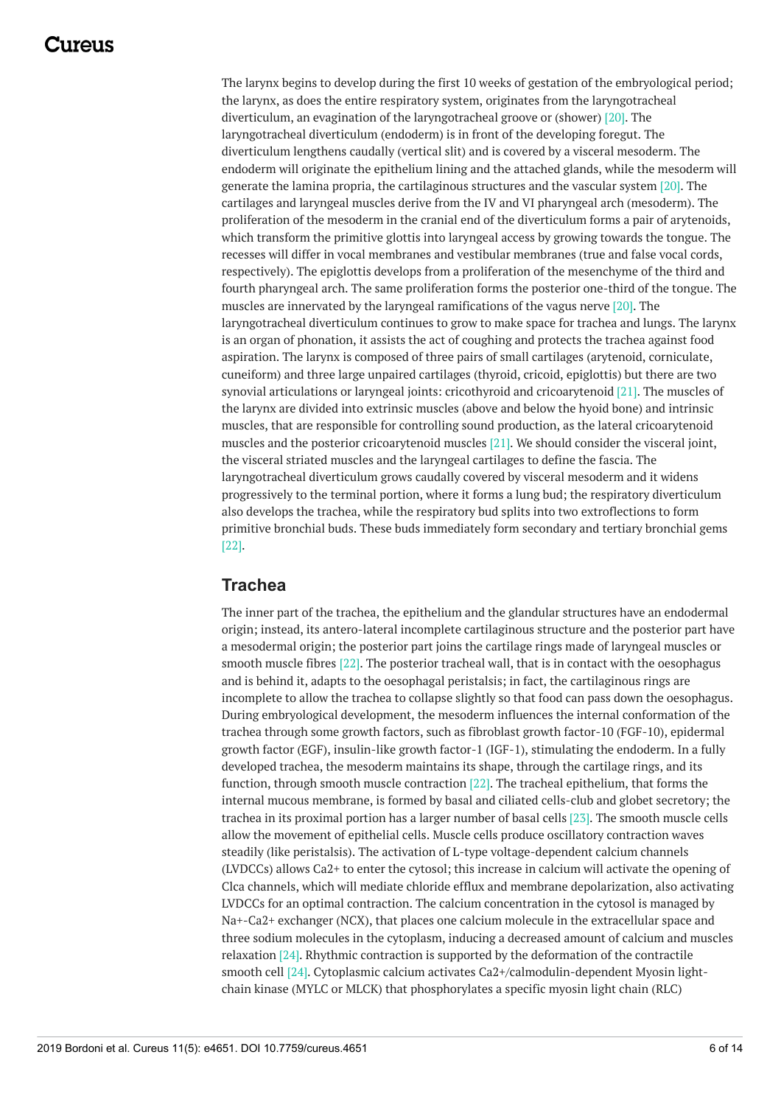## 117A119

The larynx begins to develop during the first 10 weeks of gestation of the embryological period; the larynx, as does the entire respiratory system, originates from the laryngotracheal diverticulum, an evagination of the laryngotracheal groove or (shower) [20]. The laryngotracheal diverticulum (endoderm) is in front of the developing foregut. The diverticulum lengthens caudally (vertical slit) and is covered by a visceral mesoderm. The endoderm will originate the epithelium lining and the attached glands, while the mesoderm will generate the lamina propria, the cartilaginous structures and the vascular system [20]. The cartilages and laryngeal muscles derive from the IV and VI pharyngeal arch (mesoderm). The proliferation of the mesoderm in the cranial end of the diverticulum forms a pair of arytenoids, which transform the primitive glottis into laryngeal access by growing towards the tongue. The recesses will differ in vocal membranes and vestibular membranes (true and false vocal cords, respectively). The epiglottis develops from a proliferation of the mesenchyme of the third and fourth pharyngeal arch. The same proliferation forms the posterior one-third of the tongue. The muscles are innervated by the laryngeal ramifications of the vagus nerve [20]. The laryngotracheal diverticulum continues to grow to make space for trachea and lungs. The larynx is an organ of phonation, it assists the act of coughing and protects the trachea against food aspiration. The larynx is composed of three pairs of small cartilages (arytenoid, corniculate, cuneiform) and three large unpaired cartilages (thyroid, cricoid, epiglottis) but there are two synovial articulations or laryngeal joints: cricothyroid and cricoarytenoid [21]. The muscles of the larynx are divided into extrinsic muscles (above and below the hyoid bone) and intrinsic muscles, that are responsible for controlling sound production, as the lateral cricoarytenoid muscles and the posterior cricoarytenoid muscles [21]. We should consider the visceral joint, the visceral striated muscles and the laryngeal cartilages to define the fascia. The laryngotracheal diverticulum grows caudally covered by visceral mesoderm and it widens progressively to the terminal portion, where it forms a lung bud; the respiratory diverticulum also develops the trachea, while the respiratory bud splits into two extroflections to form primitive bronchial buds. These buds immediately form secondary and tertiary bronchial gems [22].

#### **Trachea**

The inner part of the trachea, the epithelium and the glandular structures have an endodermal origin; instead, its antero-lateral incomplete cartilaginous structure and the posterior part have a mesodermal origin; the posterior part joins the cartilage rings made of laryngeal muscles or smooth muscle fibres [22]. The posterior tracheal wall, that is in contact with the oesophagus and is behind it, adapts to the oesophagal peristalsis; in fact, the cartilaginous rings are incomplete to allow the trachea to collapse slightly so that food can pass down the oesophagus. During embryological development, the mesoderm influences the internal conformation of the trachea through some growth factors, such as fibroblast growth factor-10 (FGF-10), epidermal growth factor (EGF), insulin-like growth factor-1 (IGF-1), stimulating the endoderm. In a fully developed trachea, the mesoderm maintains its shape, through the cartilage rings, and its function, through smooth muscle contraction [22]. The tracheal epithelium, that forms the internal mucous membrane, is formed by basal and ciliated cells-club and globet secretory; the trachea in its proximal portion has a larger number of basal cells [23]. The smooth muscle cells allow the movement of epithelial cells. Muscle cells produce oscillatory contraction waves steadily (like peristalsis). The activation of L-type voltage-dependent calcium channels (LVDCCs) allows Ca2+ to enter the cytosol; this increase in calcium will activate the opening of Clca channels, which will mediate chloride efflux and membrane depolarization, also activating LVDCCs for an optimal contraction. The calcium concentration in the cytosol is managed by Na+-Ca2+ exchanger (NCX), that places one calcium molecule in the extracellular space and three sodium molecules in the cytoplasm, inducing a decreased amount of calcium and muscles relaxation [24]. Rhythmic contraction is supported by the deformation of the contractile smooth cell [24]. Cytoplasmic calcium activates Ca2+/calmodulin-dependent Myosin lightchain kinase (MYLC or MLCK) that phosphorylates a specific myosin light chain (RLC)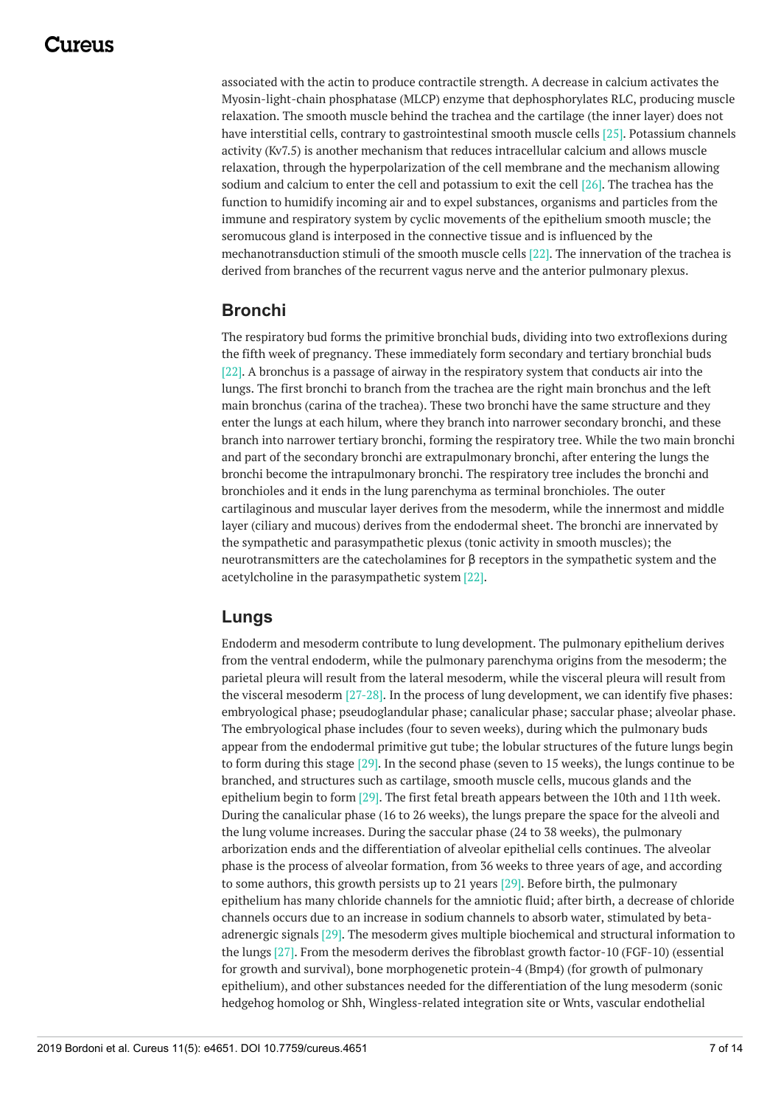associated with the actin to produce contractile strength. A decrease in calcium activates the Myosin-light-chain phosphatase (MLCP) enzyme that dephosphorylates RLC, producing muscle relaxation. The smooth muscle behind the trachea and the cartilage (the inner layer) does not have interstitial cells, contrary to gastrointestinal smooth muscle cells [25]. Potassium channels activity (Kv7.5) is another mechanism that reduces intracellular calcium and allows muscle relaxation, through the hyperpolarization of the cell membrane and the mechanism allowing sodium and calcium to enter the cell and potassium to exit the cell [26]. The trachea has the function to humidify incoming air and to expel substances, organisms and particles from the immune and respiratory system by cyclic movements of the epithelium smooth muscle; the seromucous gland is interposed in the connective tissue and is influenced by the mechanotransduction stimuli of the smooth muscle cells [22]. The innervation of the trachea is derived from branches of the recurrent vagus nerve and the anterior pulmonary plexus.

### **Bronchi**

The respiratory bud forms the primitive bronchial buds, dividing into two extroflexions during the fifth week of pregnancy. These immediately form secondary and tertiary bronchial buds [22]. A bronchus is a passage of airway in the respiratory system that conducts air into the lungs. The first bronchi to branch from the trachea are the right main bronchus and the left main bronchus (carina of the trachea). These two bronchi have the same structure and they enter the lungs at each hilum, where they branch into narrower secondary bronchi, and these branch into narrower tertiary bronchi, forming the respiratory tree. While the two main bronchi and part of the secondary bronchi are extrapulmonary bronchi, after entering the lungs the bronchi become the intrapulmonary bronchi. The respiratory tree includes the bronchi and bronchioles and it ends in the lung parenchyma as terminal bronchioles. The outer cartilaginous and muscular layer derives from the mesoderm, while the innermost and middle layer (ciliary and mucous) derives from the endodermal sheet. The bronchi are innervated by the sympathetic and parasympathetic plexus (tonic activity in smooth muscles); the neurotransmitters are the catecholamines for β receptors in the sympathetic system and the acetylcholine in the parasympathetic system [22].

#### **Lungs**

Endoderm and mesoderm contribute to lung development. The pulmonary epithelium derives from the ventral endoderm, while the pulmonary parenchyma origins from the mesoderm; the parietal pleura will result from the lateral mesoderm, while the visceral pleura will result from the visceral mesoderm <a>[27-28]</a>. In the process of lung development, we can identify five phases: embryological phase; pseudoglandular phase; canalicular phase; saccular phase; alveolar phase. The embryological phase includes (four to seven weeks), during which the pulmonary buds appear from the endodermal primitive gut tube; the lobular structures of the future lungs begin to form during this stage [29]. In the second phase (seven to 15 weeks), the lungs continue to be branched, and structures such as cartilage, smooth muscle cells, mucous glands and the epithelium begin to form [29]. The first fetal breath appears between the 10th and 11th week. During the canalicular phase (16 to 26 weeks), the lungs prepare the space for the alveoli and the lung volume increases. During the saccular phase (24 to 38 weeks), the pulmonary arborization ends and the differentiation of alveolar epithelial cells continues. The alveolar phase is the process of alveolar formation, from 36 weeks to three years of age, and according to some authors, this growth persists up to 21 years [29]. Before birth, the pulmonary epithelium has many chloride channels for the amniotic fluid; after birth, a decrease of chloride channels occurs due to an increase in sodium channels to absorb water, stimulated by betaadrenergic signals [29]. The mesoderm gives multiple biochemical and structural information to the lungs [27]. From the mesoderm derives the fibroblast growth factor-10 (FGF-10) (essential for growth and survival), bone morphogenetic protein-4 (Bmp4) (for growth of pulmonary epithelium), and other substances needed for the differentiation of the lung mesoderm (sonic hedgehog homolog or Shh, Wingless-related integration site or Wnts, vascular endothelial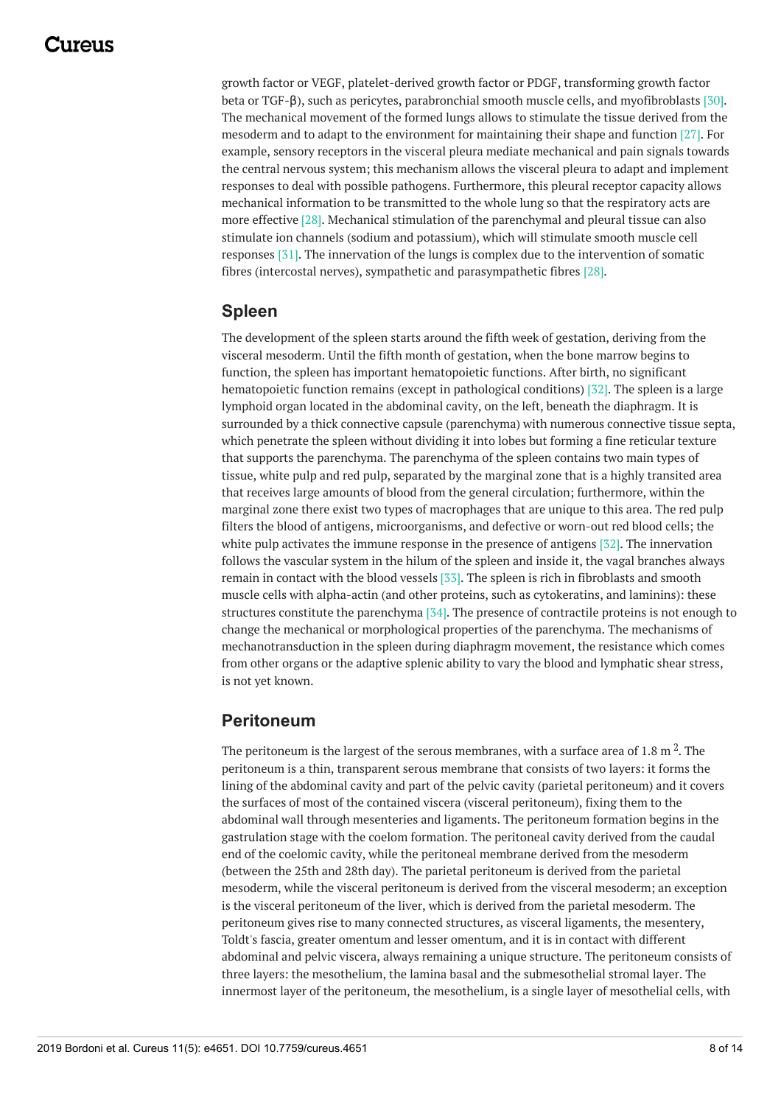growth factor or VEGF, platelet-derived growth factor or PDGF, transforming growth factor beta or TGF-β), such as pericytes, parabronchial smooth muscle cells, and myofibroblasts [30]. The mechanical movement of the formed lungs allows to stimulate the tissue derived from the mesoderm and to adapt to the environment for maintaining their shape and function [27]. For example, sensory receptors in the visceral pleura mediate mechanical and pain signals towards the central nervous system; this mechanism allows the visceral pleura to adapt and implement responses to deal with possible pathogens. Furthermore, this pleural receptor capacity allows mechanical information to be transmitted to the whole lung so that the respiratory acts are more effective [28]. Mechanical stimulation of the parenchymal and pleural tissue can also stimulate ion channels (sodium and potassium), which will stimulate smooth muscle cell responses [31]. The innervation of the lungs is complex due to the intervention of somatic fibres (intercostal nerves), sympathetic and parasympathetic fibres [28].

### **Spleen**

The development of the spleen starts around the fifth week of gestation, deriving from the visceral mesoderm. Until the fifth month of gestation, when the bone marrow begins to function, the spleen has important hematopoietic functions. After birth, no significant hematopoietic function remains (except in pathological conditions) [32]. The spleen is a large lymphoid organ located in the abdominal cavity, on the left, beneath the diaphragm. It is surrounded by a thick connective capsule (parenchyma) with numerous connective tissue septa, which penetrate the spleen without dividing it into lobes but forming a fine reticular texture that supports the parenchyma. The parenchyma of the spleen contains two main types of tissue, white pulp and red pulp, separated by the marginal zone that is a highly transited area that receives large amounts of blood from the general circulation; furthermore, within the marginal zone there exist two types of macrophages that are unique to this area. The red pulp filters the blood of antigens, microorganisms, and defective or worn-out red blood cells; the white pulp activates the immune response in the presence of antigens [32]. The innervation follows the vascular system in the hilum of the spleen and inside it, the vagal branches always remain in contact with the blood vessels [33]. The spleen is rich in fibroblasts and smooth muscle cells with alpha-actin (and other proteins, such as cytokeratins, and laminins): these structures constitute the parenchyma [34]. The presence of contractile proteins is not enough to change the mechanical or morphological properties of the parenchyma. The mechanisms of mechanotransduction in the spleen during diaphragm movement, the resistance which comes from other organs or the adaptive splenic ability to vary the blood and lymphatic shear stress, is not yet known.

### **Peritoneum**

The peritoneum is the largest of the serous membranes, with a surface area of 1.8 m  $^2$ . The peritoneum is a thin, transparent serous membrane that consists of two layers: it forms the lining of the abdominal cavity and part of the pelvic cavity (parietal peritoneum) and it covers the surfaces of most of the contained viscera (visceral peritoneum), fixing them to the abdominal wall through mesenteries and ligaments. The peritoneum formation begins in the gastrulation stage with the coelom formation. The peritoneal cavity derived from the caudal end of the coelomic cavity, while the peritoneal membrane derived from the mesoderm (between the 25th and 28th day). The parietal peritoneum is derived from the parietal mesoderm, while the visceral peritoneum is derived from the visceral mesoderm; an exception is the visceral peritoneum of the liver, which is derived from the parietal mesoderm. The peritoneum gives rise to many connected structures, as visceral ligaments, the mesentery, Toldt's fascia, greater omentum and lesser omentum, and it is in contact with different abdominal and pelvic viscera, always remaining a unique structure. The peritoneum consists of three layers: the mesothelium, the lamina basal and the submesothelial stromal layer. The innermost layer of the peritoneum, the mesothelium, is a single layer of mesothelial cells, with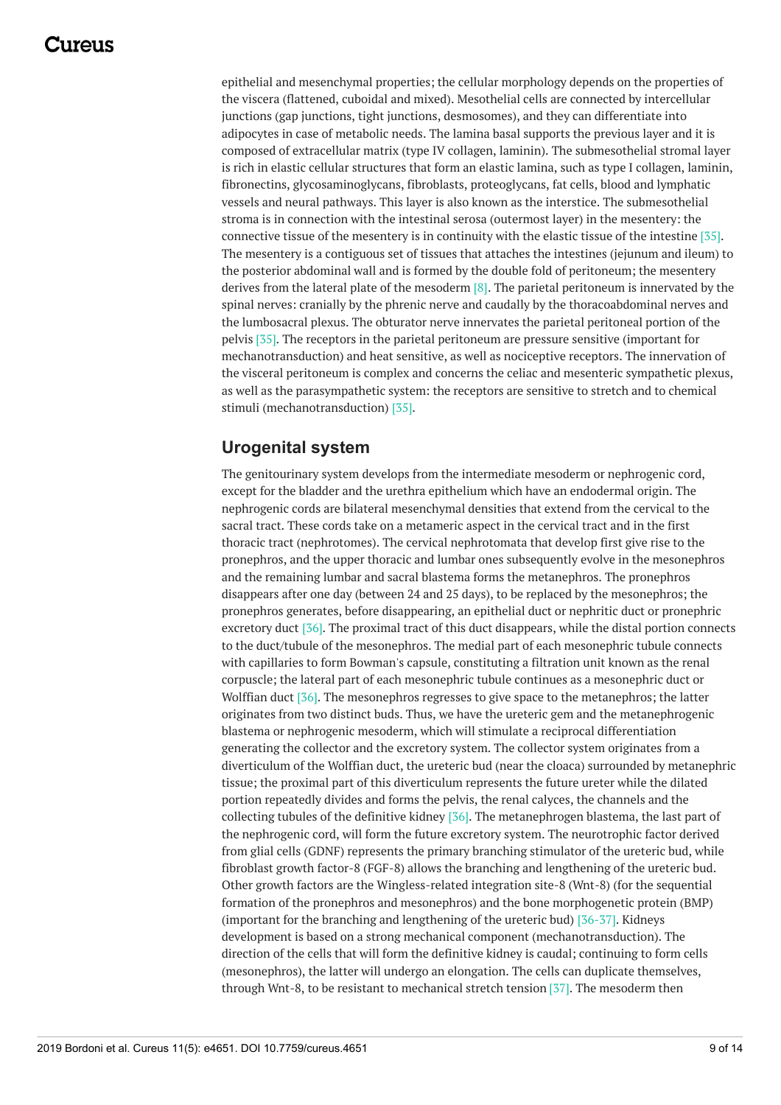epithelial and mesenchymal properties; the cellular morphology depends on the properties of the viscera (flattened, cuboidal and mixed). Mesothelial cells are connected by intercellular junctions (gap junctions, tight junctions, desmosomes), and they can differentiate into adipocytes in case of metabolic needs. The lamina basal supports the previous layer and it is composed of extracellular matrix (type IV collagen, laminin). The submesothelial stromal layer is rich in elastic cellular structures that form an elastic lamina, such as type I collagen, laminin, fibronectins, glycosaminoglycans, fibroblasts, proteoglycans, fat cells, blood and lymphatic vessels and neural pathways. This layer is also known as the interstice. The submesothelial stroma is in connection with the intestinal serosa (outermost layer) in the mesentery: the connective tissue of the mesentery is in continuity with the elastic tissue of the intestine [35]. The mesentery is a contiguous set of tissues that attaches the intestines (jejunum and ileum) to the posterior abdominal wall and is formed by the double fold of peritoneum; the mesentery derives from the lateral plate of the mesoderm [8]. The parietal peritoneum is innervated by the spinal nerves: cranially by the phrenic nerve and caudally by the thoracoabdominal nerves and the lumbosacral plexus. The obturator nerve innervates the parietal peritoneal portion of the pelvis [35]. The receptors in the parietal peritoneum are pressure sensitive (important for mechanotransduction) and heat sensitive, as well as nociceptive receptors. The innervation of the visceral peritoneum is complex and concerns the celiac and mesenteric sympathetic plexus, as well as the parasympathetic system: the receptors are sensitive to stretch and to chemical stimuli (mechanotransduction) [35].

#### **Urogenital system**

The genitourinary system develops from the intermediate mesoderm or nephrogenic cord, except for the bladder and the urethra epithelium which have an endodermal origin. The nephrogenic cords are bilateral mesenchymal densities that extend from the cervical to the sacral tract. These cords take on a metameric aspect in the cervical tract and in the first thoracic tract (nephrotomes). The cervical nephrotomata that develop first give rise to the pronephros, and the upper thoracic and lumbar ones subsequently evolve in the mesonephros and the remaining lumbar and sacral blastema forms the metanephros. The pronephros disappears after one day (between 24 and 25 days), to be replaced by the mesonephros; the pronephros generates, before disappearing, an epithelial duct or nephritic duct or pronephric excretory duct [36]. The proximal tract of this duct disappears, while the distal portion connects to the duct/tubule of the mesonephros. The medial part of each mesonephric tubule connects with capillaries to form Bowman's capsule, constituting a filtration unit known as the renal corpuscle; the lateral part of each mesonephric tubule continues as a mesonephric duct or Wolffian duct [36]. The mesonephros regresses to give space to the metanephros; the latter originates from two distinct buds. Thus, we have the ureteric gem and the metanephrogenic blastema or nephrogenic mesoderm, which will stimulate a reciprocal differentiation generating the collector and the excretory system. The collector system originates from a diverticulum of the Wolffian duct, the ureteric bud (near the cloaca) surrounded by metanephric tissue; the proximal part of this diverticulum represents the future ureter while the dilated portion repeatedly divides and forms the pelvis, the renal calyces, the channels and the collecting tubules of the definitive kidney [36]. The metanephrogen blastema, the last part of the nephrogenic cord, will form the future excretory system. The neurotrophic factor derived from glial cells (GDNF) represents the primary branching stimulator of the ureteric bud, while fibroblast growth factor-8 (FGF-8) allows the branching and lengthening of the ureteric bud. Other growth factors are the Wingless-related integration site-8 (Wnt-8) (for the sequential formation of the pronephros and mesonephros) and the bone morphogenetic protein (BMP) (important for the branching and lengthening of the ureteric bud) [36-37]. Kidneys development is based on a strong mechanical component (mechanotransduction). The direction of the cells that will form the definitive kidney is caudal; continuing to form cells (mesonephros), the latter will undergo an elongation. The cells can duplicate themselves, through Wnt-8, to be resistant to mechanical stretch tension [37]. The mesoderm then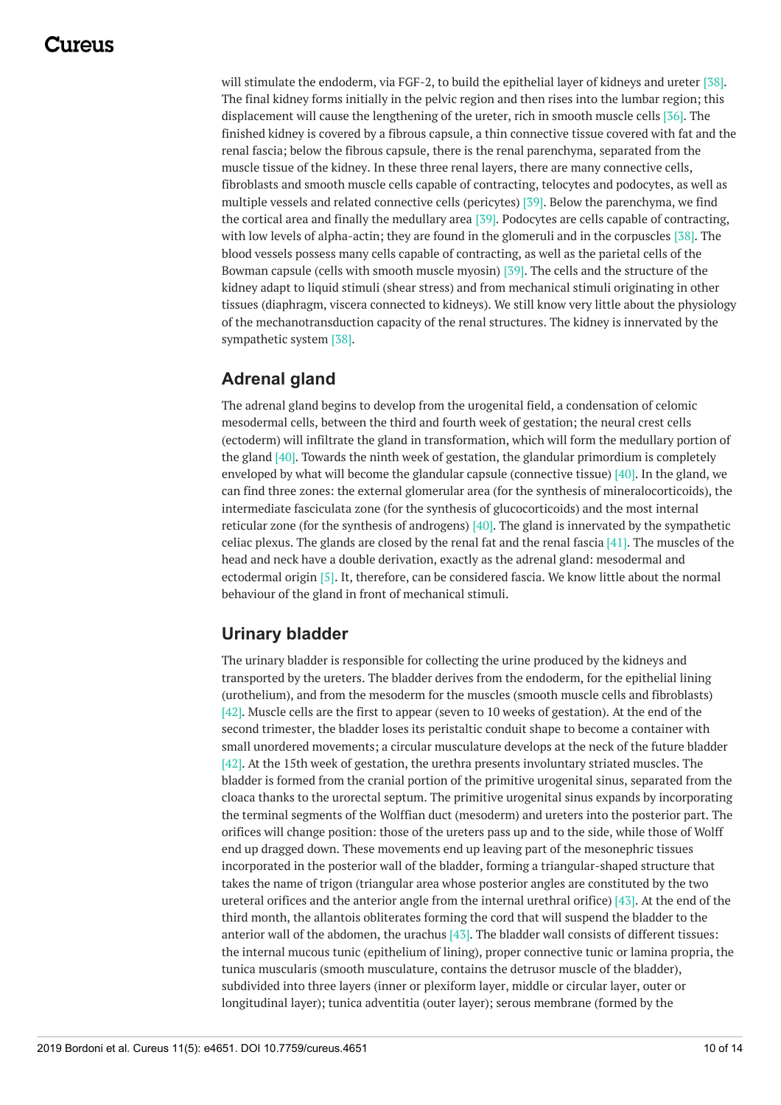will stimulate the endoderm, via FGF-2, to build the epithelial layer of kidneys and ureter [38]. The final kidney forms initially in the pelvic region and then rises into the lumbar region; this displacement will cause the lengthening of the ureter, rich in smooth muscle cells [36]. The finished kidney is covered by a fibrous capsule, a thin connective tissue covered with fat and the renal fascia; below the fibrous capsule, there is the renal parenchyma, separated from the muscle tissue of the kidney. In these three renal layers, there are many connective cells, fibroblasts and smooth muscle cells capable of contracting, telocytes and podocytes, as well as multiple vessels and related connective cells (pericytes) [39]. Below the parenchyma, we find the cortical area and finally the medullary area [39]. Podocytes are cells capable of contracting, with low levels of alpha-actin; they are found in the glomeruli and in the corpuscles [38]. The blood vessels possess many cells capable of contracting, as well as the parietal cells of the Bowman capsule (cells with smooth muscle myosin) [39]. The cells and the structure of the kidney adapt to liquid stimuli (shear stress) and from mechanical stimuli originating in other tissues (diaphragm, viscera connected to kidneys). We still know very little about the physiology of the mechanotransduction capacity of the renal structures. The kidney is innervated by the sympathetic system [38].

## **Adrenal gland**

The adrenal gland begins to develop from the urogenital field, a condensation of celomic mesodermal cells, between the third and fourth week of gestation; the neural crest cells (ectoderm) will infiltrate the gland in transformation, which will form the medullary portion of the gland [40]. Towards the ninth week of gestation, the glandular primordium is completely enveloped by what will become the glandular capsule (connective tissue)  $[40]$ . In the gland, we can find three zones: the external glomerular area (for the synthesis of mineralocorticoids), the intermediate fasciculata zone (for the synthesis of glucocorticoids) and the most internal reticular zone (for the synthesis of androgens) [40]. The gland is innervated by the sympathetic celiac plexus. The glands are closed by the renal fat and the renal fascia  $[41]$ . The muscles of the head and neck have a double derivation, exactly as the adrenal gland: mesodermal and ectodermal origin [5]. It, therefore, can be considered fascia. We know little about the normal behaviour of the gland in front of mechanical stimuli.

### **Urinary bladder**

The urinary bladder is responsible for collecting the urine produced by the kidneys and transported by the ureters. The bladder derives from the endoderm, for the epithelial lining (urothelium), and from the mesoderm for the muscles (smooth muscle cells and fibroblasts) [42]. Muscle cells are the first to appear (seven to 10 weeks of gestation). At the end of the second trimester, the bladder loses its peristaltic conduit shape to become a container with small unordered movements; a circular musculature develops at the neck of the future bladder [42]. At the 15th week of gestation, the urethra presents involuntary striated muscles. The bladder is formed from the cranial portion of the primitive urogenital sinus, separated from the cloaca thanks to the urorectal septum. The primitive urogenital sinus expands by incorporating the terminal segments of the Wolffian duct (mesoderm) and ureters into the posterior part. The orifices will change position: those of the ureters pass up and to the side, while those of Wolff end up dragged down. These movements end up leaving part of the mesonephric tissues incorporated in the posterior wall of the bladder, forming a triangular-shaped structure that takes the name of trigon (triangular area whose posterior angles are constituted by the two ureteral orifices and the anterior angle from the internal urethral orifice) [43]. At the end of the third month, the allantois obliterates forming the cord that will suspend the bladder to the anterior wall of the abdomen, the urachus [43]. The bladder wall consists of different tissues: the internal mucous tunic (epithelium of lining), proper connective tunic or lamina propria, the tunica muscularis (smooth musculature, contains the detrusor muscle of the bladder), subdivided into three layers (inner or plexiform layer, middle or circular layer, outer or longitudinal layer); tunica adventitia (outer layer); serous membrane (formed by the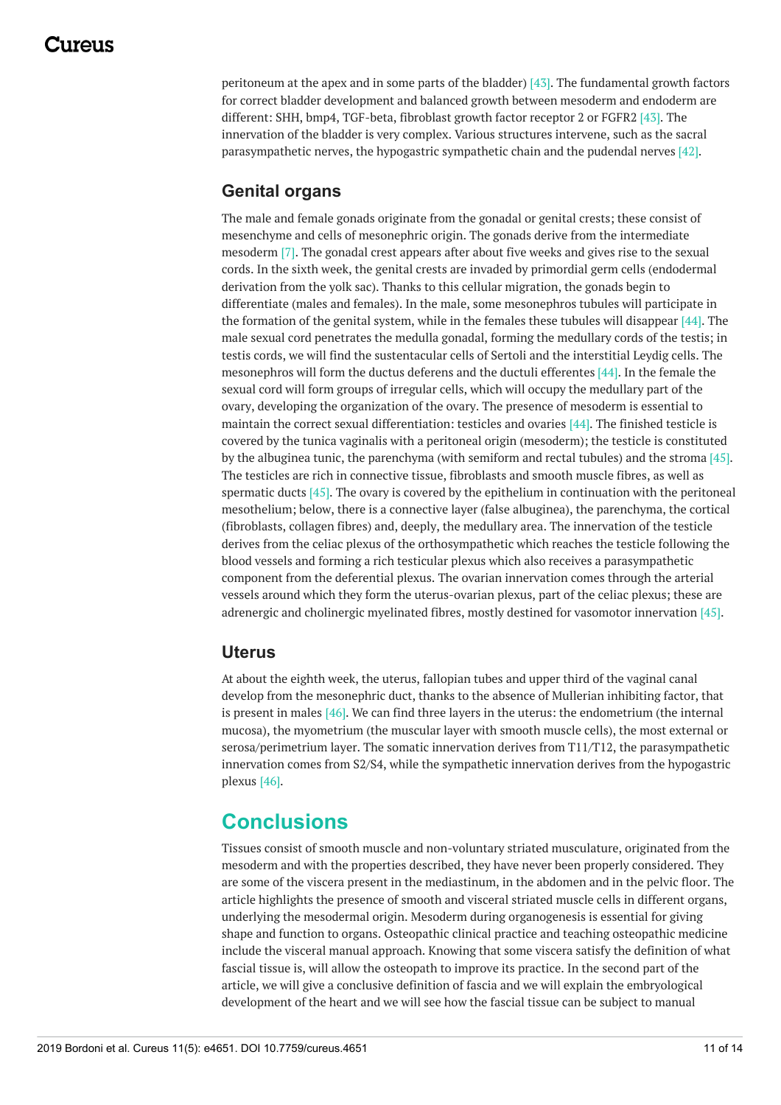peritoneum at the apex and in some parts of the bladder) [43]. The fundamental growth factors for correct bladder development and balanced growth between mesoderm and endoderm are different: SHH, bmp4, TGF-beta, fibroblast growth factor receptor 2 or FGFR2 [43]. The innervation of the bladder is very complex. Various structures intervene, such as the sacral parasympathetic nerves, the hypogastric sympathetic chain and the pudendal nerves [42].

#### **Genital organs**

The male and female gonads originate from the gonadal or genital crests; these consist of mesenchyme and cells of mesonephric origin. The gonads derive from the intermediate mesoderm [7]. The gonadal crest appears after about five weeks and gives rise to the sexual cords. In the sixth week, the genital crests are invaded by primordial germ cells (endodermal derivation from the yolk sac). Thanks to this cellular migration, the gonads begin to differentiate (males and females). In the male, some mesonephros tubules will participate in the formation of the genital system, while in the females these tubules will disappear [44]. The male sexual cord penetrates the medulla gonadal, forming the medullary cords of the testis; in testis cords, we will find the sustentacular cells of Sertoli and the interstitial Leydig cells. The mesonephros will form the ductus deferens and the ductuli efferentes [44]. In the female the sexual cord will form groups of irregular cells, which will occupy the medullary part of the ovary, developing the organization of the ovary. The presence of mesoderm is essential to maintain the correct sexual differentiation: testicles and ovaries [44]. The finished testicle is covered by the tunica vaginalis with a peritoneal origin (mesoderm); the testicle is constituted by the albuginea tunic, the parenchyma (with semiform and rectal tubules) and the stroma [45]. The testicles are rich in connective tissue, fibroblasts and smooth muscle fibres, as well as spermatic ducts  $[45]$ . The ovary is covered by the epithelium in continuation with the peritoneal mesothelium; below, there is a connective layer (false albuginea), the parenchyma, the cortical (fibroblasts, collagen fibres) and, deeply, the medullary area. The innervation of the testicle derives from the celiac plexus of the orthosympathetic which reaches the testicle following the blood vessels and forming a rich testicular plexus which also receives a parasympathetic component from the deferential plexus. The ovarian innervation comes through the arterial vessels around which they form the uterus-ovarian plexus, part of the celiac plexus; these are adrenergic and cholinergic myelinated fibres, mostly destined for vasomotor innervation [45].

#### **Uterus**

At about the eighth week, the uterus, fallopian tubes and upper third of the vaginal canal develop from the mesonephric duct, thanks to the absence of Mullerian inhibiting factor, that is present in males [46]. We can find three layers in the uterus: the endometrium (the internal mucosa), the myometrium (the muscular layer with smooth muscle cells), the most external or serosa/perimetrium layer. The somatic innervation derives from T11/T12, the parasympathetic innervation comes from S2/S4, while the sympathetic innervation derives from the hypogastric plexus [46].

## **Conclusions**

Tissues consist of smooth muscle and non-voluntary striated musculature, originated from the mesoderm and with the properties described, they have never been properly considered. They are some of the viscera present in the mediastinum, in the abdomen and in the pelvic floor. The article highlights the presence of smooth and visceral striated muscle cells in different organs, underlying the mesodermal origin. Mesoderm during organogenesis is essential for giving shape and function to organs. Osteopathic clinical practice and teaching osteopathic medicine include the visceral manual approach. Knowing that some viscera satisfy the definition of what fascial tissue is, will allow the osteopath to improve its practice. In the second part of the article, we will give a conclusive definition of fascia and we will explain the embryological development of the heart and we will see how the fascial tissue can be subject to manual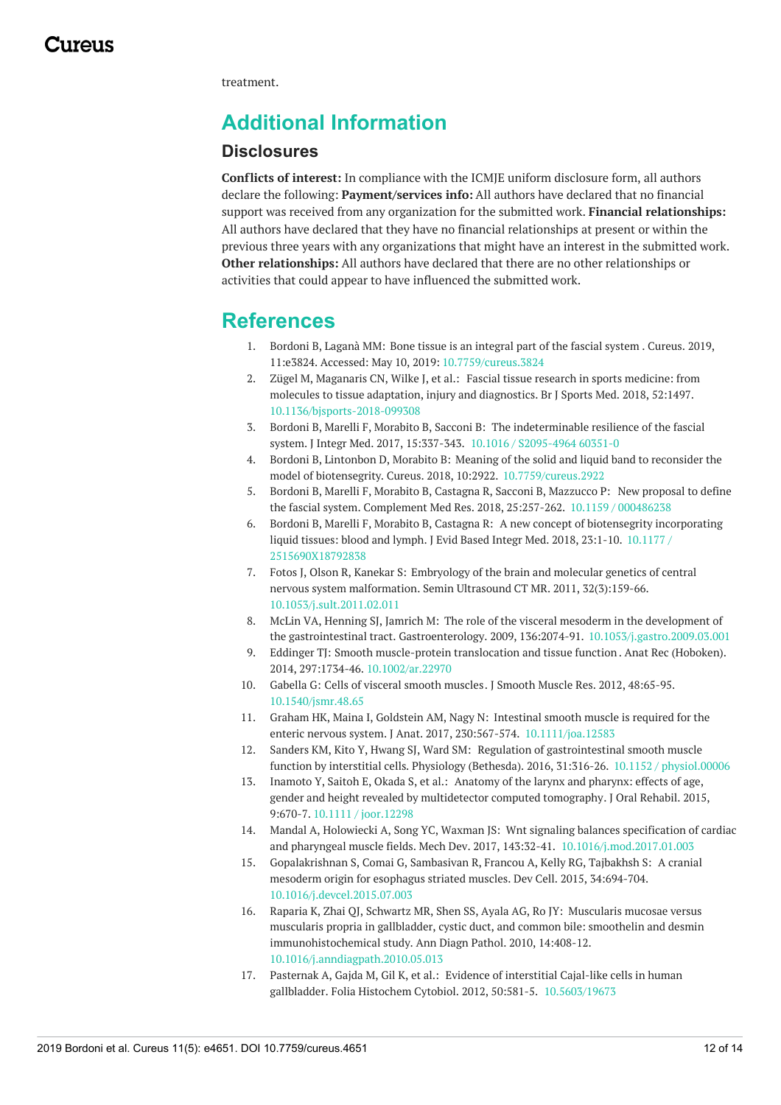treatment.

# **Additional Information**

#### **Disclosures**

**Conflicts of interest:** In compliance with the ICMJE uniform disclosure form, all authors declare the following: **Payment/services info:** All authors have declared that no financial support was received from any organization for the submitted work. **Financial relationships:** All authors have declared that they have no financial relationships at present or within the previous three years with any organizations that might have an interest in the submitted work. **Other relationships:** All authors have declared that there are no other relationships or activities that could appear to have influenced the submitted work.

## **References**

- 1. Bordoni B, Laganà MM: Bone tissue is an [integral](https://dx.doi.org/10.7759/cureus.3824) part of the fascial system . Cureus. 2019, 11:e3824. Accessed: May 10, 2019: [10.7759/cureus.3824](https://dx.doi.org/10.7759/cureus.3824)
- 2. Zügel M, Maganaris CN, Wilke J, et al.: Fascial tissue research in sports medicine: from molecules to tissue adaptation, injury and [diagnostics.](https://dx.doi.org/10.1136/bjsports-2018-099308) Br J Sports Med. 2018, 52:1497. [10.1136/bjsports-2018-099308](https://dx.doi.org/10.1136/bjsports-2018-099308)
- 3. Bordoni B, Marelli F, Morabito B, Sacconi B: The [indeterminable](https://dx.doi.org/10.1016 / S2095-4964 60351-0) resilience of the fascial system. J Integr Med. 2017, 15:337-343. 10.1016 / [S2095-4964](https://dx.doi.org/10.1016 / S2095-4964 60351-0) 60351-0
- 4. Bordoni B, Lintonbon D, Morabito B: Meaning of the solid and liquid band to reconsider the model of biotensegrity. Cureus. 2018, 10:2922. [10.7759/cureus.2922](https://dx.doi.org/10.7759/cureus.2922)
- 5. Bordoni B, Marelli F, Morabito B, Castagna R, Sacconi B, Mazzucco P: New proposal to define the fascial system. [Complement](https://dx.doi.org/10.1159 / 000486238) Med Res. 2018, 25:257-262. 10.1159 / [000486238](https://dx.doi.org/10.1159 / 000486238)
- 6. Bordoni B, Marelli F, Morabito B, Castagna R: A new concept of biotensegrity [incorporating](https://dx.doi.org/10.1177 / 2515690X18792838) liquid tissues: blood and lymph. J Evid Based Integr Med. 2018, 23:1-10. 10.1177 / [2515690X18792838](https://dx.doi.org/10.1177 / 2515690X18792838)
- 7. Fotos J, Olson R, Kanekar S: Embryology of the brain and molecular genetics of central nervous system [malformation.](https://dx.doi.org/10.1053/j.sult.2011.02.011) Semin Ultrasound CT MR. 2011, 32(3):159-66. [10.1053/j.sult.2011.02.011](https://dx.doi.org/10.1053/j.sult.2011.02.011)
- 8. McLin VA, Henning SJ, Jamrich M: The role of the visceral mesoderm in the development of the gastrointestinal tract. Gastroenterology. 2009, 136:2074-91. [10.1053/j.gastro.2009.03.001](https://dx.doi.org/10.1053/j.gastro.2009.03.001)
- 9. Eddinger TJ: Smooth [muscle-protein](https://dx.doi.org/10.1002/ar.22970) translocation and tissue function . Anat Rec (Hoboken). 2014, 297:1734-46. [10.1002/ar.22970](https://dx.doi.org/10.1002/ar.22970)
- 10. Gabella G: Cells of visceral smooth [muscles](https://dx.doi.org/10.1540/jsmr.48.65). J Smooth Muscle Res. 2012, 48:65-95. [10.1540/jsmr.48.65](https://dx.doi.org/10.1540/jsmr.48.65)
- 11. Graham HK, Maina I, Goldstein AM, Nagy N: Intestinal smooth muscle is required for the enteric nervous system. J Anat. 2017, 230:567-574. [10.1111/joa.12583](https://dx.doi.org/10.1111/joa.12583)
- 12. Sanders KM, Kito Y, Hwang SJ, Ward SM: Regulation of [gastrointestinal](https://dx.doi.org/10.1152 / physiol.00006) smooth muscle function by interstitial cells. Physiology (Bethesda). 2016, 31:316-26. 10.1152 / [physiol.00006](https://dx.doi.org/10.1152 / physiol.00006)
- 13. Inamoto Y, Saitoh E, Okada S, et al.: Anatomy of the larynx and pharynx: effects of age, gender and height revealed by [multidetector](https://dx.doi.org/10.1111 / joor.12298) computed tomography. J Oral Rehabil. 2015, 9:670-7. 10.1111 / [joor.12298](https://dx.doi.org/10.1111 / joor.12298)
- 14. Mandal A, Holowiecki A, Song YC, Waxman JS: Wnt signaling balances specification of cardiac and pharyngeal muscle fields. Mech Dev. 2017, 143:32-41. [10.1016/j.mod.2017.01.003](https://dx.doi.org/10.1016/j.mod.2017.01.003)
- 15. [Gopalakrishnan](https://dx.doi.org/10.1016/j.devcel.2015.07.003) S, Comai G, Sambasivan R, Francou A, Kelly RG, Tajbakhsh S: A cranial mesoderm origin for esophagus striated muscles. Dev Cell. 2015, 34:694-704. [10.1016/j.devcel.2015.07.003](https://dx.doi.org/10.1016/j.devcel.2015.07.003)
- 16. Raparia K, Zhai QJ, Schwartz MR, Shen SS, Ayala AG, Ro JY: Muscularis mucosae versus muscularis propria in gallbladder, cystic duct, and common bile: smoothelin and desmin [immunohistochemical](https://dx.doi.org/10.1016/j.anndiagpath.2010.05.013) study. Ann Diagn Pathol. 2010, 14:408-12. [10.1016/j.anndiagpath.2010.05.013](https://dx.doi.org/10.1016/j.anndiagpath.2010.05.013)
- 17. Pasternak A, Gajda M, Gil K, et al.: Evidence of interstitial Cajal-like cells in human gallbladder. Folia Histochem Cytobiol. 2012, 50:581-5. [10.5603/19673](https://dx.doi.org/10.5603/19673)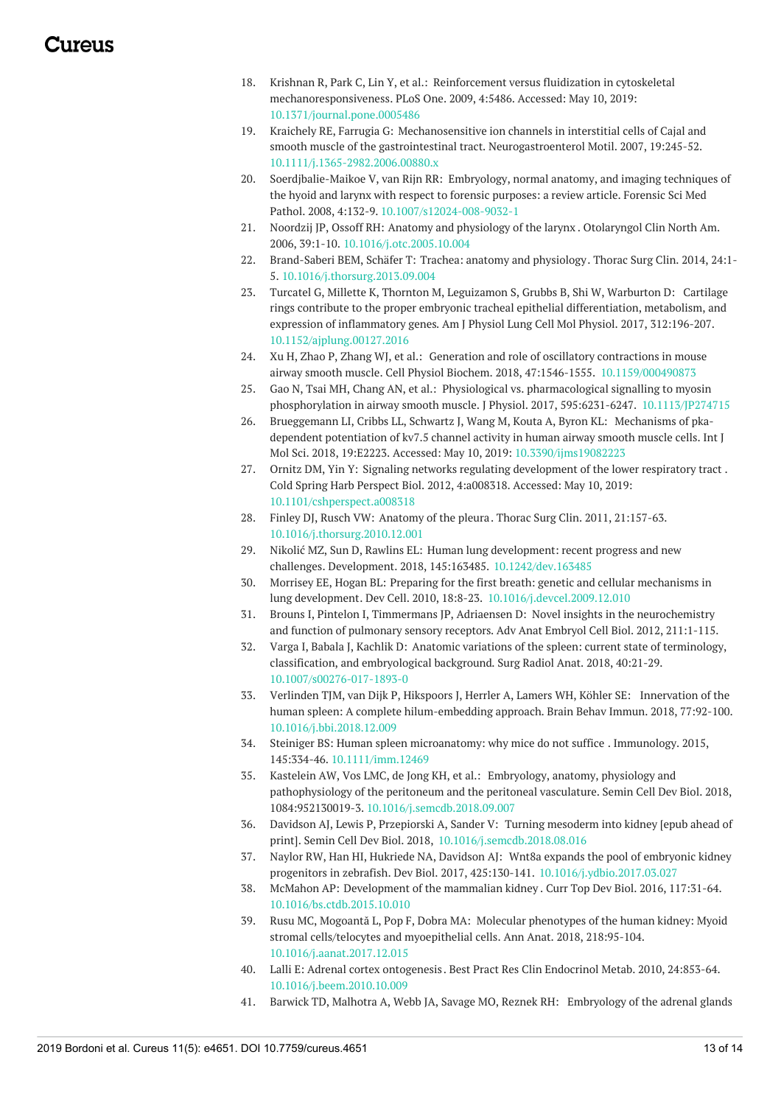- 18. Krishnan R, Park C, Lin Y, et al.: Reinforcement versus fluidization in cytoskeletal [mechanoresponsiveness.](https://dx.doi.org/10.1371/journal.pone.0005486) PLoS One. 2009, 4:5486. Accessed: May 10, 2019: [10.1371/journal.pone.0005486](https://dx.doi.org/10.1371/journal.pone.0005486)
- 19. Kraichely RE, Farrugia G: Mechanosensitive ion channels in interstitial cells of Cajal and smooth muscle of the gastrointestinal tract. [Neurogastroenterol](https://dx.doi.org/10.1111/j.1365-2982.2006.00880.x) Motil. 2007, 19:245-52. [10.1111/j.1365-2982.2006.00880.x](https://dx.doi.org/10.1111/j.1365-2982.2006.00880.x)
- 20. [Soerdjbalie-Maikoe](https://dx.doi.org/10.1007/s12024-008-9032-1) V, van Rijn RR: Embryology, normal anatomy, and imaging techniques of the hyoid and larynx with respect to forensic purposes: a review article. Forensic Sci Med Pathol. 2008, 4:132-9. [10.1007/s12024-008-9032-1](https://dx.doi.org/10.1007/s12024-008-9032-1)
- 21. Noordzij JP, Ossoff RH: Anatomy and [physiology](https://dx.doi.org/10.1016/j.otc.2005.10.004) of the larynx . Otolaryngol Clin North Am. 2006, 39:1-10. [10.1016/j.otc.2005.10.004](https://dx.doi.org/10.1016/j.otc.2005.10.004)
- 22. Brand-Saberi BEM, Schäfer T: Trachea: anatomy and [physiology](https://dx.doi.org/10.1016/j.thorsurg.2013.09.004). Thorac Surg Clin. 2014, 24:1- 5. [10.1016/j.thorsurg.2013.09.004](https://dx.doi.org/10.1016/j.thorsurg.2013.09.004)
- 23. Turcatel G, Millette K, Thornton M, Leguizamon S, Grubbs B, Shi W, Warburton D: Cartilage rings contribute to the proper embryonic tracheal epithelial [differentiation,](https://dx.doi.org/10.1152/ajplung.00127.2016) metabolism, and expression of inflammatory genes. Am J Physiol Lung Cell Mol Physiol. 2017, 312:196-207. [10.1152/ajplung.00127.2016](https://dx.doi.org/10.1152/ajplung.00127.2016)
- 24. Xu H, Zhao P, Zhang WJ, et al.: Generation and role of oscillatory contractions in mouse airway smooth muscle. Cell Physiol Biochem. 2018, 47:1546-1555. [10.1159/000490873](https://dx.doi.org/10.1159/000490873)
- 25. Gao N, Tsai MH, Chang AN, et al.: Physiological vs. [pharmacological](https://dx.doi.org/10.1113/JP274715) signalling to myosin phosphorylation in airway smooth muscle. J Physiol. 2017, 595:6231-6247. [10.1113/JP274715](https://dx.doi.org/10.1113/JP274715)
- 26. [Brueggemann](https://dx.doi.org/10.3390/ijms19082223) LI, Cribbs LL, Schwartz J, Wang M, Kouta A, Byron KL: Mechanisms of pkadependent potentiation of kv7.5 channel activity in human airway smooth muscle cells. Int J Mol Sci. 2018, 19:E2223. Accessed: May 10, 2019: [10.3390/ijms19082223](https://dx.doi.org/10.3390/ijms19082223)
- 27. Ornitz DM, Yin Y: Signaling networks regulating [development](https://dx.doi.org/10.1101/cshperspect.a008318) of the lower respiratory tract . Cold Spring Harb Perspect Biol. 2012, 4:a008318. Accessed: May 10, 2019: [10.1101/cshperspect.a008318](https://dx.doi.org/10.1101/cshperspect.a008318)
- 28. Finley DJ, Rusch VW: [Anatomy](https://dx.doi.org/10.1016/j.thorsurg.2010.12.001) of the pleura. Thorac Surg Clin. 2011, 21:157-63. [10.1016/j.thorsurg.2010.12.001](https://dx.doi.org/10.1016/j.thorsurg.2010.12.001)
- 29. Nikolić MZ, Sun D, Rawlins EL: Human lung development: recent progress and new challenges. Development. 2018, 145:163485. [10.1242/dev.163485](https://dx.doi.org/10.1242/dev.163485)
- 30. Morrisey EE, Hogan BL: Preparing for the first breath: genetic and cellular mechanisms in lung development. Dev Cell. 2010, 18:8-23. [10.1016/j.devcel.2009.12.010](https://dx.doi.org/10.1016/j.devcel.2009.12.010)
- 31. Brouns I, Pintelon I, Timmermans JP, Adriaensen D: Novel insights in the [neurochemistry](https://www.ncbi.nlm.nih.gov/pubmed/22128592) and function of pulmonary sensory receptors. Adv Anat Embryol Cell Biol. 2012, 211:1-115.
- 32. Varga I, Babala J, Kachlik D: Anatomic variations of the spleen: current state of terminology, classification, and [embryological](https://dx.doi.org/10.1007/s00276-017-1893-0) background. Surg Radiol Anat. 2018, 40:21-29. [10.1007/s00276-017-1893-0](https://dx.doi.org/10.1007/s00276-017-1893-0)
- 33. Verlinden TJM, van Dijk P, Hikspoors J, Herrler A, Lamers WH, Köhler SE: Innervation of the human spleen: A complete [hilum-embedding](https://dx.doi.org/10.1016/j.bbi.2018.12.009) approach. Brain Behav Immun. 2018, 77:92-100. [10.1016/j.bbi.2018.12.009](https://dx.doi.org/10.1016/j.bbi.2018.12.009)
- 34. Steiniger BS: Human spleen [microanatomy:](https://dx.doi.org/10.1111/imm.12469) why mice do not suffice . Immunology. 2015, 145:334-46. [10.1111/imm.12469](https://dx.doi.org/10.1111/imm.12469)
- 35. Kastelein AW, Vos LMC, de Jong KH, et al.: Embryology, anatomy, physiology and [pathophysiology](https://dx.doi.org/10.1016/j.semcdb.2018.09.007) of the peritoneum and the peritoneal vasculature. Semin Cell Dev Biol. 2018, 1084:952130019-3. [10.1016/j.semcdb.2018.09.007](https://dx.doi.org/10.1016/j.semcdb.2018.09.007)
- 36. Davidson AJ, Lewis P, Przepiorski A, Sander V: Turning mesoderm into kidney [epub ahead of print]. Semin Cell Dev Biol. 2018, [10.1016/j.semcdb.2018.08.016](https://dx.doi.org/10.1016/j.semcdb.2018.08.016)
- 37. Naylor RW, Han HI, Hukriede NA, Davidson AJ: Wnt8a expands the pool of embryonic kidney progenitors in zebrafish. Dev Biol. 2017, 425:130-141. [10.1016/j.ydbio.2017.03.027](https://dx.doi.org/10.1016/j.ydbio.2017.03.027)
- 38. McMahon AP: [Development](https://dx.doi.org/10.1016/bs.ctdb.2015.10.010) of the mammalian kidney . Curr Top Dev Biol. 2016, 117:31-64. [10.1016/bs.ctdb.2015.10.010](https://dx.doi.org/10.1016/bs.ctdb.2015.10.010)
- 39. Rusu MC, Mogoantă L, Pop F, Dobra MA: Molecular phenotypes of the human kidney: Myoid stromal [cells/telocytes](https://dx.doi.org/10.1016/j.aanat.2017.12.015) and myoepithelial cells. Ann Anat. 2018, 218:95-104. [10.1016/j.aanat.2017.12.015](https://dx.doi.org/10.1016/j.aanat.2017.12.015)
- 40. Lalli E: Adrenal cortex [ontogenesis](https://dx.doi.org/10.1016/j.beem.2010.10.009) . Best Pract Res Clin Endocrinol Metab. 2010, 24:853-64. [10.1016/j.beem.2010.10.009](https://dx.doi.org/10.1016/j.beem.2010.10.009)
- 41. Barwick TD, Malhotra A, Webb JA, Savage MO, Reznek RH: [Embryology](https://dx.doi.org/10.1016/j.crad.2005.04.006) of the adrenal glands